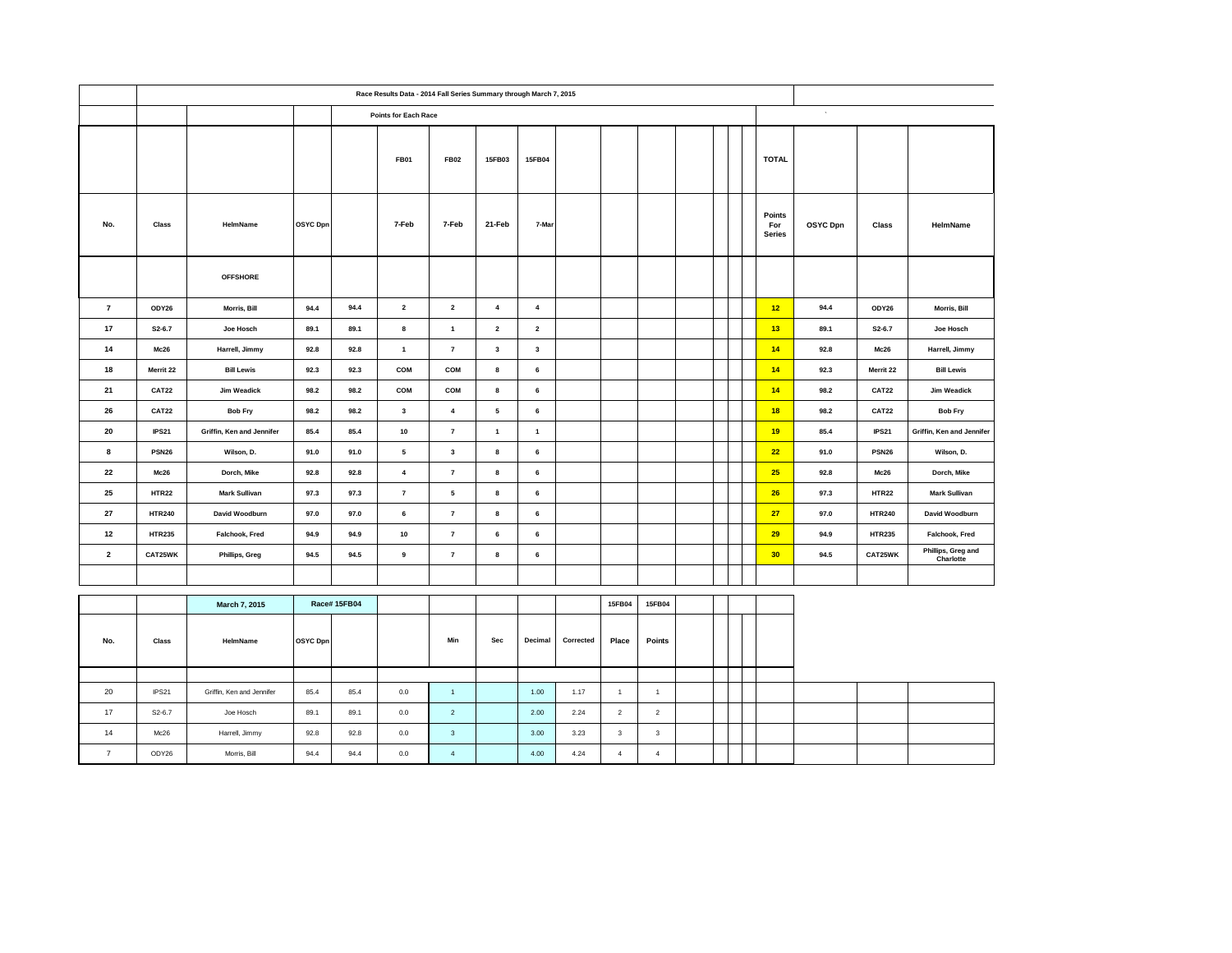|                         | Race Results Data - 2014 Fall Series Summary through March 7, 2015 |                           |          |                    |                             |                |                         |                         |           |                         |                |  |  |  |                                |          |               |                                 |  |  |  |
|-------------------------|--------------------------------------------------------------------|---------------------------|----------|--------------------|-----------------------------|----------------|-------------------------|-------------------------|-----------|-------------------------|----------------|--|--|--|--------------------------------|----------|---------------|---------------------------------|--|--|--|
|                         |                                                                    |                           |          |                    | <b>Points for Each Race</b> |                |                         |                         |           |                         |                |  |  |  |                                |          |               | $\epsilon$                      |  |  |  |
|                         |                                                                    |                           |          |                    | <b>FB01</b>                 | <b>FB02</b>    | 15FB03                  | 15FB04                  |           |                         |                |  |  |  | <b>TOTAL</b>                   |          |               |                                 |  |  |  |
| No.                     | Class                                                              | HelmName                  | OSYC Dpn |                    | 7-Feb                       | 7-Feb          | 21-Feb                  | 7-Mar                   |           |                         |                |  |  |  | Points<br>For<br><b>Series</b> | OSYC Dpn | Class         | HelmName                        |  |  |  |
|                         |                                                                    | <b>OFFSHORE</b>           |          |                    |                             |                |                         |                         |           |                         |                |  |  |  |                                |          |               |                                 |  |  |  |
| $\overline{7}$          | ODY26                                                              | Morris, Bill              | 94.4     | 94.4               | $\mathbf 2$                 | $\mathbf 2$    | $\overline{4}$          | $\boldsymbol{4}$        |           |                         |                |  |  |  | 12                             | 94.4     | ODY26         | Morris, Bill                    |  |  |  |
| 17                      | $S2 - 6.7$                                                         | Joe Hosch                 | 89.1     | 89.1               | 8                           | $\mathbf{1}$   | $\overline{2}$          | $\overline{\mathbf{2}}$ |           |                         |                |  |  |  | 13                             | 89.1     | $S2 - 6.7$    | Joe Hosch                       |  |  |  |
| 14                      | Mc26                                                               | Harrell, Jimmy            | 92.8     | 92.8               | $\mathbf{1}$                | $\overline{7}$ | $\overline{\mathbf{3}}$ | $\mathbf{3}$            |           |                         |                |  |  |  | 14                             | 92.8     | Mc26          | Harrell, Jimmy                  |  |  |  |
| 18                      | Merrit 22                                                          | <b>Bill Lewis</b>         | 92.3     | 92.3               | COM                         | COM            | 8                       | 6                       |           |                         |                |  |  |  | 14                             | 92.3     | Merrit 22     | <b>Bill Lewis</b>               |  |  |  |
| 21                      | <b>CAT22</b>                                                       | Jim Weadick               | 98.2     | 98.2               | COM                         | COM            | 8                       | 6                       |           |                         |                |  |  |  | 14                             | 98.2     | <b>CAT22</b>  | Jim Weadick                     |  |  |  |
| 26                      | CAT22                                                              | <b>Bob Fry</b>            | 98.2     | 98.2               | $\mathbf{3}$                | $\pmb{4}$      | $\sqrt{5}$              | 6                       |           |                         |                |  |  |  | 18                             | 98.2     | <b>CAT22</b>  | <b>Bob Fry</b>                  |  |  |  |
| 20                      | IPS21                                                              | Griffin, Ken and Jennifer | 85.4     | 85.4               | 10                          | $\bf 7$        | $\overline{1}$          | $\mathbf{1}$            |           |                         |                |  |  |  | 19                             | 85.4     | <b>IPS21</b>  | Griffin, Ken and Jennifer       |  |  |  |
| 8                       | <b>PSN26</b>                                                       | Wilson, D.                | 91.0     | 91.0               | 5                           | 3              | 8                       | 6                       |           |                         |                |  |  |  | 22                             | 91.0     | <b>PSN26</b>  | Wilson, D.                      |  |  |  |
| 22                      | Mc26                                                               | Dorch, Mike               | 92.8     | 92.8               | $\overline{4}$              | $\overline{7}$ | 8                       | 6                       |           |                         |                |  |  |  | 25                             | 92.8     | Mc26          | Dorch, Mike                     |  |  |  |
| 25                      | <b>HTR22</b>                                                       | <b>Mark Sullivan</b>      | 97.3     | 97.3               | $\overline{7}$              | 5              | 8                       | 6                       |           |                         |                |  |  |  | 26                             | 97.3     | <b>HTR22</b>  | <b>Mark Sullivan</b>            |  |  |  |
| 27                      | <b>HTR240</b>                                                      | David Woodburn            | 97.0     | 97.0               | 6                           | $\pmb{7}$      | 8                       | 6                       |           |                         |                |  |  |  | 27                             | 97.0     | <b>HTR240</b> | David Woodburn                  |  |  |  |
| 12                      | <b>HTR235</b>                                                      | Falchook, Fred            | 94.9     | 94.9               | 10                          | $\pmb{7}$      | 6                       | 6                       |           |                         |                |  |  |  | 29                             | 94.9     | <b>HTR235</b> | Falchook, Fred                  |  |  |  |
| $\overline{\mathbf{2}}$ | CAT25WK                                                            | Phillips, Greg            | 94.5     | 94.5               | $\boldsymbol{9}$            | $\overline{7}$ | 8                       | 6                       |           |                         |                |  |  |  | 30 <sub>2</sub>                | 94.5     | CAT25WK       | Phillips, Greg and<br>Charlotte |  |  |  |
|                         |                                                                    |                           |          |                    |                             |                |                         |                         |           |                         |                |  |  |  |                                |          |               |                                 |  |  |  |
|                         |                                                                    | March 7, 2015             |          | <b>Race#15FB04</b> |                             |                |                         |                         |           | 15FB04                  | 15FB04         |  |  |  |                                |          |               |                                 |  |  |  |
|                         |                                                                    |                           |          |                    |                             |                |                         |                         |           |                         |                |  |  |  |                                |          |               |                                 |  |  |  |
| No.                     | Class                                                              | HelmName                  | OSYC Dpn |                    |                             | Min            | Sec                     | Decimal                 | Corrected | Place                   | Points         |  |  |  |                                |          |               |                                 |  |  |  |
|                         |                                                                    |                           |          |                    |                             |                |                         |                         |           |                         |                |  |  |  |                                |          |               |                                 |  |  |  |
| 20                      | IPS21                                                              | Griffin, Ken and Jennifer | 85.4     | 85.4               | 0.0                         | $\mathbf{1}$   |                         | 1.00                    | 1.17      | $\overline{1}$          | $\mathbf{1}$   |  |  |  |                                |          |               |                                 |  |  |  |
| 17                      | $S2 - 6.7$                                                         | Joe Hosch                 | 89.1     | 89.1               | 0.0                         | $\mathbf{2}$   |                         | 2.00                    | 2.24      | $\overline{2}$          | $\overline{2}$ |  |  |  |                                |          |               |                                 |  |  |  |
| 14                      | Mc26                                                               | Harrell, Jimmy            | 92.8     | 92.8               | $0.0\,$                     | $\mathbf 3$    |                         | 3.00                    | 3.23      | $\overline{\mathbf{3}}$ | $\mathbf{3}$   |  |  |  |                                |          |               |                                 |  |  |  |
| $\overline{7}$          | ODY26                                                              | Morris, Bill              | 94.4     | 94.4               | 0.0                         | $\overline{4}$ |                         | 4.00                    | 4.24      | $\overline{4}$          | $\overline{4}$ |  |  |  |                                |          |               |                                 |  |  |  |